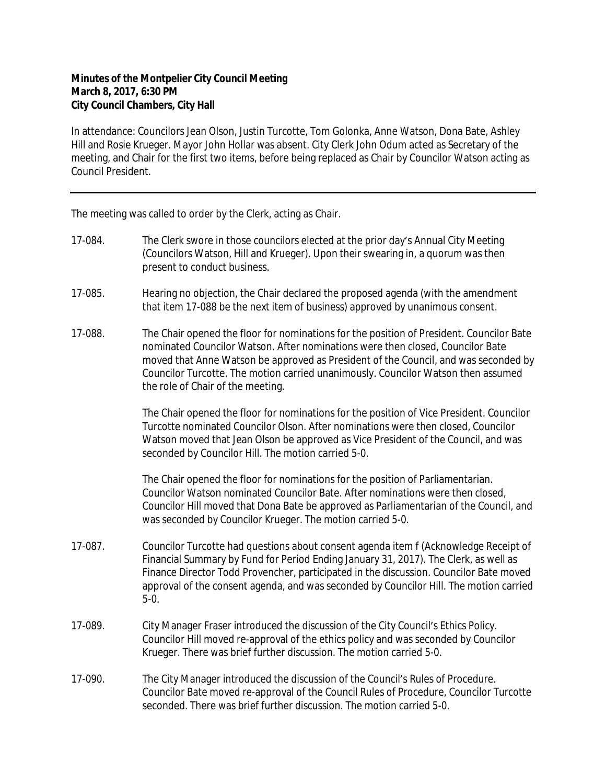## **Minutes of the Montpelier City Council Meeting March 8, 2017, 6:30 PM City Council Chambers, City Hall**

In attendance: Councilors Jean Olson, Justin Turcotte, Tom Golonka, Anne Watson, Dona Bate, Ashley Hill and Rosie Krueger. Mayor John Hollar was absent. City Clerk John Odum acted as Secretary of the meeting, and Chair for the first two items, before being replaced as Chair by Councilor Watson acting as Council President.

The meeting was called to order by the Clerk, acting as Chair.

- 17-084. The Clerk swore in those councilors elected at the prior day's Annual City Meeting (Councilors Watson, Hill and Krueger). Upon their swearing in, a quorum was then present to conduct business.
- 17-085. Hearing no objection, the Chair declared the proposed agenda (with the amendment that item 17-088 be the next item of business) approved by unanimous consent.
- 17-088. The Chair opened the floor for nominations for the position of President. Councilor Bate nominated Councilor Watson. After nominations were then closed, Councilor Bate moved that Anne Watson be approved as President of the Council, and was seconded by Councilor Turcotte. The motion carried unanimously. Councilor Watson then assumed the role of Chair of the meeting.

The Chair opened the floor for nominations for the position of Vice President. Councilor Turcotte nominated Councilor Olson. After nominations were then closed, Councilor Watson moved that Jean Olson be approved as Vice President of the Council, and was seconded by Councilor Hill. The motion carried 5-0.

The Chair opened the floor for nominations for the position of Parliamentarian. Councilor Watson nominated Councilor Bate. After nominations were then closed, Councilor Hill moved that Dona Bate be approved as Parliamentarian of the Council, and was seconded by Councilor Krueger. The motion carried 5-0.

- 17-087. Councilor Turcotte had questions about consent agenda item f (Acknowledge Receipt of Financial Summary by Fund for Period Ending January 31, 2017). The Clerk, as well as Finance Director Todd Provencher, participated in the discussion. Councilor Bate moved approval of the consent agenda, and was seconded by Councilor Hill. The motion carried 5-0.
- 17-089. City Manager Fraser introduced the discussion of the City Council's Ethics Policy. Councilor Hill moved re-approval of the ethics policy and was seconded by Councilor Krueger. There was brief further discussion. The motion carried 5-0.
- 17-090. The City Manager introduced the discussion of the Council's Rules of Procedure. Councilor Bate moved re-approval of the Council Rules of Procedure, Councilor Turcotte seconded. There was brief further discussion. The motion carried 5-0.